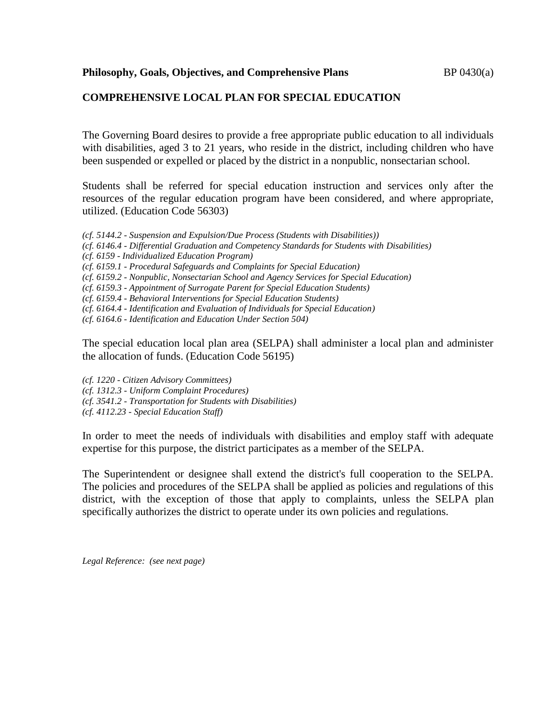#### **COMPREHENSIVE LOCAL PLAN FOR SPECIAL EDUCATION**

The Governing Board desires to provide a free appropriate public education to all individuals with disabilities, aged 3 to 21 years, who reside in the district, including children who have been suspended or expelled or placed by the district in a nonpublic, nonsectarian school.

Students shall be referred for special education instruction and services only after the resources of the regular education program have been considered, and where appropriate, utilized. (Education Code 56303)

*(cf. 5144.2 - Suspension and Expulsion/Due Process (Students with Disabilities)) (cf. 6146.4 - Differential Graduation and Competency Standards for Students with Disabilities) (cf. 6159 - Individualized Education Program) (cf. 6159.1 - Procedural Safeguards and Complaints for Special Education) (cf. 6159.2 - Nonpublic, Nonsectarian School and Agency Services for Special Education) (cf. 6159.3 - Appointment of Surrogate Parent for Special Education Students) (cf. 6159.4 - Behavioral Interventions for Special Education Students) (cf. 6164.4 - Identification and Evaluation of Individuals for Special Education) (cf. 6164.6 - Identification and Education Under Section 504)*

The special education local plan area (SELPA) shall administer a local plan and administer the allocation of funds. (Education Code 56195)

*(cf. 1220 - Citizen Advisory Committees)*

- *(cf. 1312.3 - Uniform Complaint Procedures)*
- *(cf. 3541.2 - Transportation for Students with Disabilities)*
- *(cf. 4112.23 - Special Education Staff)*

In order to meet the needs of individuals with disabilities and employ staff with adequate expertise for this purpose, the district participates as a member of the SELPA.

The Superintendent or designee shall extend the district's full cooperation to the SELPA. The policies and procedures of the SELPA shall be applied as policies and regulations of this district, with the exception of those that apply to complaints, unless the SELPA plan specifically authorizes the district to operate under its own policies and regulations.

*Legal Reference: (see next page)*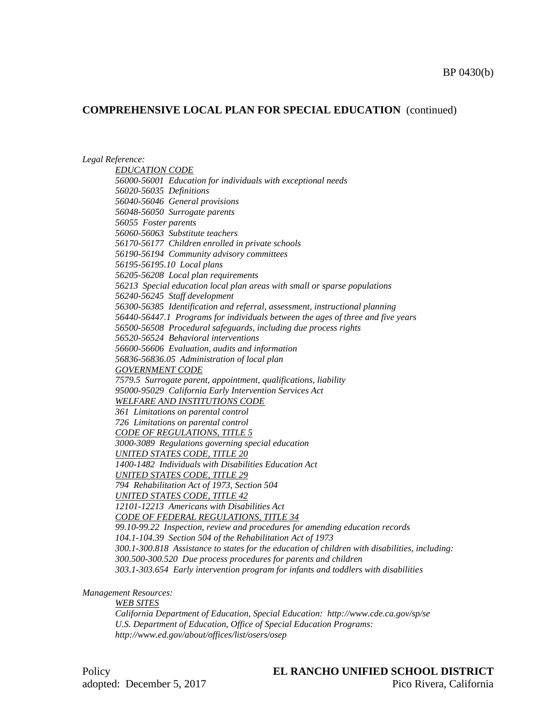#### **COMPREHENSIVE LOCAL PLAN FOR SPECIAL EDUCATION** (continued)

*Legal Reference:*

*EDUCATION CODE 56000-56001 Education for individuals with exceptional needs 56020-56035 Definitions 56040-56046 General provisions 56048-56050 Surrogate parents 56055 Foster parents 56060-56063 Substitute teachers 56170-56177 Children enrolled in private schools 56190-56194 Community advisory committees 56195-56195.10 Local plans 56205-56208 Local plan requirements 56213 Special education local plan areas with small or sparse populations 56240-56245 Staff development 56300-56385 Identification and referral, assessment, instructional planning 56440-56447.1 Programs for individuals between the ages of three and five years 56500-56508 Procedural safeguards, including due process rights 56520-56524 Behavioral interventions 56600-56606 Evaluation, audits and information 56836-56836.05 Administration of local plan GOVERNMENT CODE 7579.5 Surrogate parent, appointment, qualifications, liability 95000-95029 California Early Intervention Services Act WELFARE AND INSTITUTIONS CODE 361 Limitations on parental control 726 Limitations on parental control CODE OF REGULATIONS, TITLE 5 3000-3089 Regulations governing special education UNITED STATES CODE, TITLE 20 1400-1482 Individuals with Disabilities Education Act UNITED STATES CODE, TITLE 29 794 Rehabilitation Act of 1973, Section 504 UNITED STATES CODE, TITLE 42 12101-12213 Americans with Disabilities Act CODE OF FEDERAL REGULATIONS, TITLE 34 99.10-99.22 Inspection, review and procedures for amending education records 104.1-104.39 Section 504 of the Rehabilitation Act of 1973 300.1-300.818 Assistance to states for the education of children with disabilities, including: 300.500-300.520 Due process procedures for parents and children 303.1-303.654 Early intervention program for infants and toddlers with disabilities*

*Management Resources:*

*WEB SITES*

*California Department of Education, Special Education: http://www.cde.ca.gov/sp/se U.S. Department of Education, Office of Special Education Programs: http://www.ed.gov/about/offices/list/osers/osep*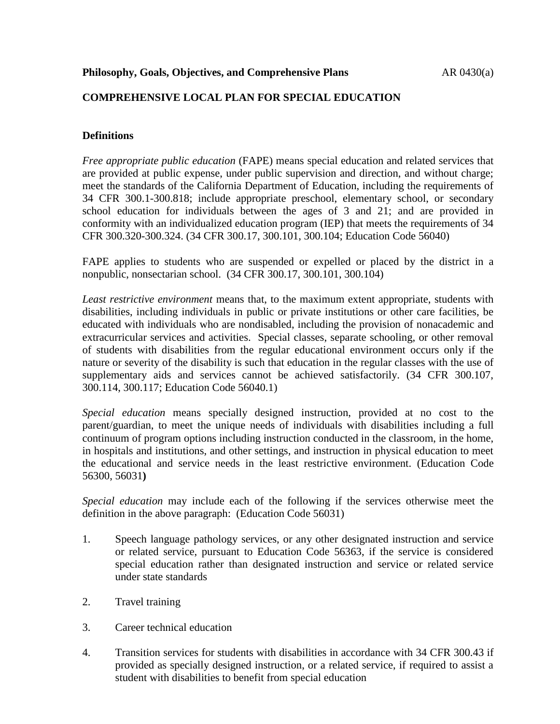## **COMPREHENSIVE LOCAL PLAN FOR SPECIAL EDUCATION**

## **Definitions**

*Free appropriate public education* (FAPE) means special education and related services that are provided at public expense, under public supervision and direction, and without charge; meet the standards of the California Department of Education, including the requirements of 34 CFR 300.1-300.818; include appropriate preschool, elementary school, or secondary school education for individuals between the ages of 3 and 21; and are provided in conformity with an individualized education program (IEP) that meets the requirements of 34 CFR 300.320-300.324. (34 CFR 300.17, 300.101, 300.104; Education Code 56040)

FAPE applies to students who are suspended or expelled or placed by the district in a nonpublic, nonsectarian school. (34 CFR 300.17, 300.101, 300.104)

*Least restrictive environment* means that, to the maximum extent appropriate, students with disabilities, including individuals in public or private institutions or other care facilities, be educated with individuals who are nondisabled, including the provision of nonacademic and extracurricular services and activities. Special classes, separate schooling, or other removal of students with disabilities from the regular educational environment occurs only if the nature or severity of the disability is such that education in the regular classes with the use of supplementary aids and services cannot be achieved satisfactorily. (34 CFR 300.107, 300.114, 300.117; Education Code 56040.1)

*Special education* means specially designed instruction, provided at no cost to the parent/guardian, to meet the unique needs of individuals with disabilities including a full continuum of program options including instruction conducted in the classroom, in the home, in hospitals and institutions, and other settings, and instruction in physical education to meet the educational and service needs in the least restrictive environment. (Education Code 56300, 56031**)**

*Special education* may include each of the following if the services otherwise meet the definition in the above paragraph: (Education Code 56031)

- 1. Speech language pathology services, or any other designated instruction and service or related service, pursuant to Education Code 56363, if the service is considered special education rather than designated instruction and service or related service under state standards
- 2. Travel training
- 3. Career technical education
- 4. Transition services for students with disabilities in accordance with 34 CFR 300.43 if provided as specially designed instruction, or a related service, if required to assist a student with disabilities to benefit from special education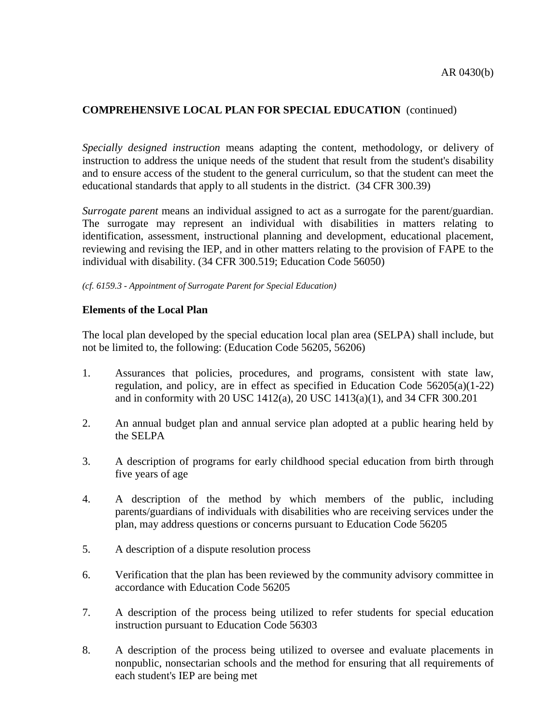## **COMPREHENSIVE LOCAL PLAN FOR SPECIAL EDUCATION** (continued)

*Specially designed instruction* means adapting the content, methodology, or delivery of instruction to address the unique needs of the student that result from the student's disability and to ensure access of the student to the general curriculum, so that the student can meet the educational standards that apply to all students in the district. (34 CFR 300.39)

*Surrogate parent* means an individual assigned to act as a surrogate for the parent/guardian. The surrogate may represent an individual with disabilities in matters relating to identification, assessment, instructional planning and development, educational placement, reviewing and revising the IEP, and in other matters relating to the provision of FAPE to the individual with disability. (34 CFR 300.519; Education Code 56050)

#### *(cf. 6159.3 - Appointment of Surrogate Parent for Special Education)*

#### **Elements of the Local Plan**

The local plan developed by the special education local plan area (SELPA) shall include, but not be limited to, the following: (Education Code 56205, 56206)

- 1. Assurances that policies, procedures, and programs, consistent with state law, regulation, and policy, are in effect as specified in Education Code 56205(a)(1-22) and in conformity with 20 USC 1412(a), 20 USC 1413(a)(1), and 34 CFR 300.201
- 2. An annual budget plan and annual service plan adopted at a public hearing held by the SELPA
- 3. A description of programs for early childhood special education from birth through five years of age
- 4. A description of the method by which members of the public, including parents/guardians of individuals with disabilities who are receiving services under the plan, may address questions or concerns pursuant to Education Code 56205
- 5. A description of a dispute resolution process
- 6. Verification that the plan has been reviewed by the community advisory committee in accordance with Education Code 56205
- 7. A description of the process being utilized to refer students for special education instruction pursuant to Education Code 56303
- 8. A description of the process being utilized to oversee and evaluate placements in nonpublic, nonsectarian schools and the method for ensuring that all requirements of each student's IEP are being met